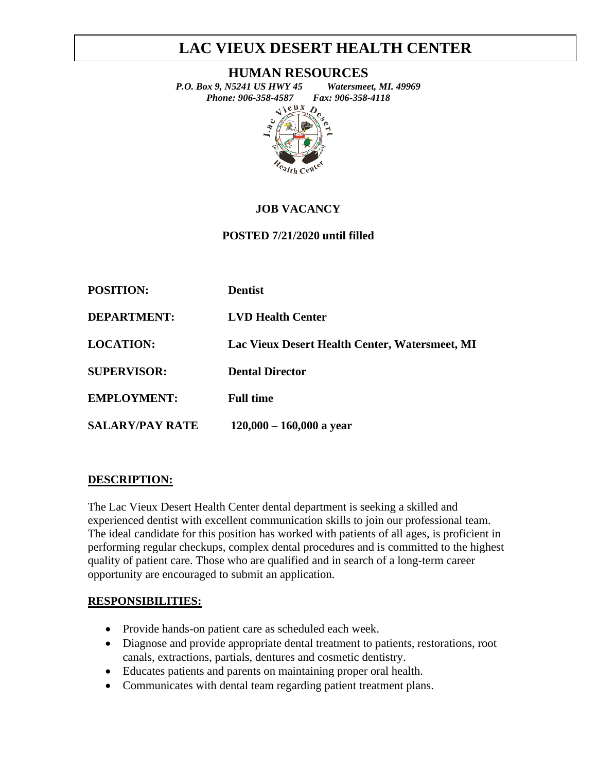# **LAC VIEUX DESERT HEALTH CENTER**

#### **HUMAN RESOURCES**



## **JOB VACANCY**

### **POSTED 7/21/2020 until filled**

| <b>POSITION:</b>       | <b>Dentist</b>                                 |
|------------------------|------------------------------------------------|
| <b>DEPARTMENT:</b>     | <b>LVD Health Center</b>                       |
| <b>LOCATION:</b>       | Lac Vieux Desert Health Center, Watersmeet, MI |
| <b>SUPERVISOR:</b>     | <b>Dental Director</b>                         |
| <b>EMPLOYMENT:</b>     | <b>Full time</b>                               |
| <b>SALARY/PAY RATE</b> | $120,000 - 160,000$ a year                     |

#### **DESCRIPTION:**

The Lac Vieux Desert Health Center dental department is seeking a skilled and experienced dentist with excellent communication skills to join our professional team. The ideal candidate for this position has worked with patients of all ages, is proficient in performing regular checkups, complex dental procedures and is committed to the highest quality of patient care. Those who are qualified and in search of a long-term career opportunity are encouraged to submit an application.

#### **RESPONSIBILITIES:**

- Provide hands-on patient care as scheduled each week.
- Diagnose and provide appropriate dental treatment to patients, restorations, root canals, extractions, partials, dentures and cosmetic dentistry.
- Educates patients and parents on maintaining proper oral health.
- Communicates with dental team regarding patient treatment plans.